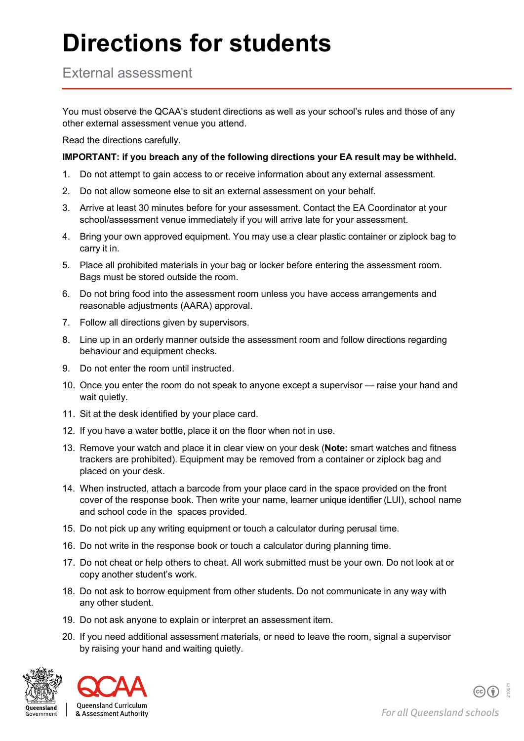## **Directions for students**

External assessment

You must observe the QCAA's student directions as well as your school's rules and those of any other external assessment venue you attend.

Read the directions carefully.

## **IMPORTANT: if you breach any of the following directions your EA result may be withheld.**

- 1. Do not attempt to gain access to or receive information about any external assessment.
- 2. Do not allow someone else to sit an external assessment on your behalf.
- 3. Arrive at least 30 minutes before for your assessment. Contact the EA Coordinator at your school/assessment venue immediately if you will arrive late for your assessment.
- 4. Bring your own approved equipment. You may use a clear plastic container or ziplock bag to carry it in.
- 5. Place all prohibited materials in your bag or locker before entering the assessment room. Bags must be stored outside the room.
- 6. Do not bring food into the assessment room unless you have access arrangements and reasonable adjustments (AARA) approval.
- 7. Follow all directions given by supervisors.
- 8. Line up in an orderly manner outside the assessment room and follow directions regarding behaviour and equipment checks.
- 9. Do not enter the room until instructed.
- 10. Once you enter the room do not speak to anyone except a supervisor raise your hand and wait quietly.
- 11. Sit at the desk identified by your place card.
- 12. If you have a water bottle, place it on the floor when not in use.
- 13. Remove your watch and place it in clear view on your desk (**Note:** smart watches and fitness trackers are prohibited). Equipment may be removed from a container or ziplock bag and placed on your desk.
- 14. When instructed, attach a barcode from your place card in the space provided on the front cover of the response book. Then write your name, learner unique identifier (LUI), school name and school code in the spaces provided.
- 15. Do not pick up any writing equipment or touch a calculator during perusal time.
- 16. Do not write in the response book or touch a calculator during planning time.
- 17. Do not cheat or help others to cheat. All work submitted must be your own. Do not look at or copy another student's work.
- 18. Do not ask to borrow equipment from other students. Do not communicate in any way with any other student.
- 19. Do not ask anyone to explain or interpret an assessment item.
- 20. If you need additional assessment materials, or need to leave the room, signal a supervisor by raising your hand and waiting quietly.